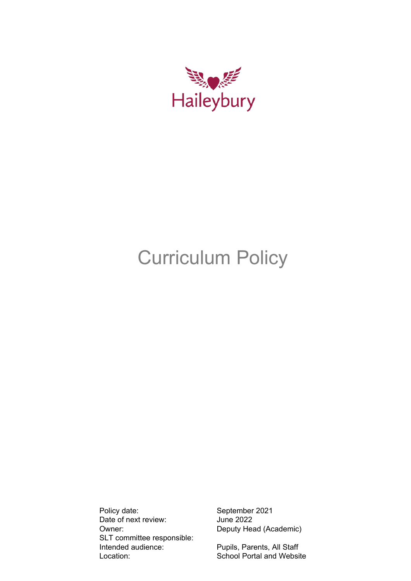

# Curriculum Policy

Policy date: September 2021 Date of next review: June 2022 Owner: Deputy Head (Academic) SLT committee responsible: Intended audience: Pupils, Parents, All Staff<br>
Location: School Portal and Websi

School Portal and Website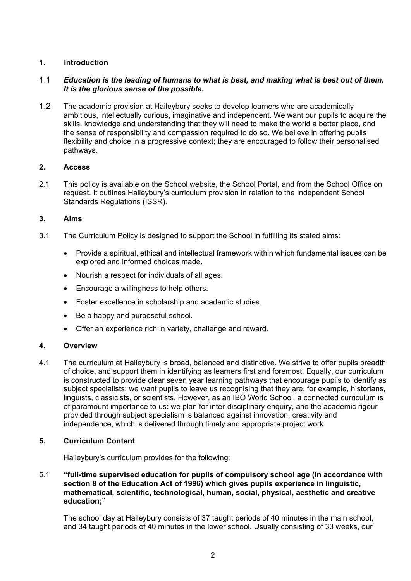# **1. Introduction**

## 1.1 *Education is the leading of humans to what is best, and making what is best out of them. It is the glorious sense of the possible.*

1.2 The academic provision at Haileybury seeks to develop learners who are academically ambitious, intellectually curious, imaginative and independent. We want our pupils to acquire the skills, knowledge and understanding that they will need to make the world a better place, and the sense of responsibility and compassion required to do so. We believe in offering pupils flexibility and choice in a progressive context; they are encouraged to follow their personalised pathways.

## **2. Access**

2.1 This policy is available on the School website, the School Portal, and from the School Office on request. It outlines Haileybury's curriculum provision in relation to the Independent School Standards Regulations (ISSR).

## **3. Aims**

- 3.1 The Curriculum Policy is designed to support the School in fulfilling its stated aims:
	- Provide a spiritual, ethical and intellectual framework within which fundamental issues can be explored and informed choices made.
	- Nourish a respect for individuals of all ages.
	- Encourage a willingness to help others.
	- Foster excellence in scholarship and academic studies.
	- Be a happy and purposeful school.
	- Offer an experience rich in variety, challenge and reward.

## **4. Overview**

4.1 The curriculum at Haileybury is broad, balanced and distinctive. We strive to offer pupils breadth of choice, and support them in identifying as learners first and foremost. Equally, our curriculum is constructed to provide clear seven year learning pathways that encourage pupils to identify as subject specialists: we want pupils to leave us recognising that they are, for example, historians, linguists, classicists, or scientists. However, as an IBO World School, a connected curriculum is of paramount importance to us: we plan for inter-disciplinary enquiry, and the academic rigour provided through subject specialism is balanced against innovation, creativity and independence, which is delivered through timely and appropriate project work.

#### **5. Curriculum Content**

Haileybury's curriculum provides for the following:

5.1 **"full-time supervised education for pupils of compulsory school age (in accordance with section 8 of the Education Act of 1996) which gives pupils experience in linguistic, mathematical, scientific, technological, human, social, physical, aesthetic and creative education;"**

The school day at Haileybury consists of 37 taught periods of 40 minutes in the main school, and 34 taught periods of 40 minutes in the lower school. Usually consisting of 33 weeks, our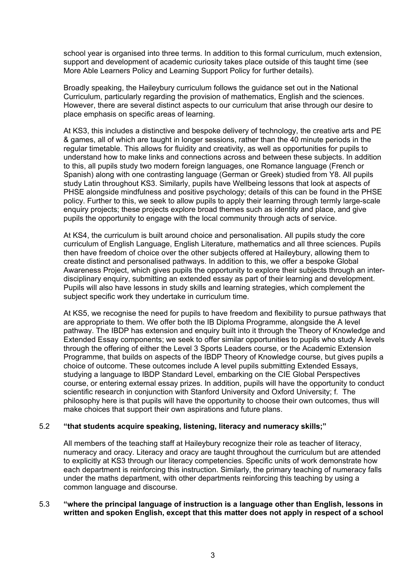school year is organised into three terms. In addition to this formal curriculum, much extension, support and development of academic curiosity takes place outside of this taught time (see More Able Learners Policy and Learning Support Policy for further details).

Broadly speaking, the Haileybury curriculum follows the guidance set out in the National Curriculum, particularly regarding the provision of mathematics, English and the sciences. However, there are several distinct aspects to our curriculum that arise through our desire to place emphasis on specific areas of learning.

At KS3, this includes a distinctive and bespoke delivery of technology, the creative arts and PE & games, all of which are taught in longer sessions, rather than the 40 minute periods in the regular timetable. This allows for fluidity and creativity, as well as opportunities for pupils to understand how to make links and connections across and between these subjects. In addition to this, all pupils study two modern foreign languages, one Romance language (French or Spanish) along with one contrasting language (German or Greek) studied from Y8. All pupils study Latin throughout KS3. Similarly, pupils have Wellbeing lessons that look at aspects of PHSE alongside mindfulness and positive psychology; details of this can be found in the PHSE policy. Further to this, we seek to allow pupils to apply their learning through termly large-scale enquiry projects; these projects explore broad themes such as identity and place, and give pupils the opportunity to engage with the local community through acts of service.

At KS4, the curriculum is built around choice and personalisation. All pupils study the core curriculum of English Language, English Literature, mathematics and all three sciences. Pupils then have freedom of choice over the other subjects offered at Haileybury, allowing them to create distinct and personalised pathways. In addition to this, we offer a bespoke Global Awareness Project, which gives pupils the opportunity to explore their subjects through an interdisciplinary enquiry, submitting an extended essay as part of their learning and development. Pupils will also have lessons in study skills and learning strategies, which complement the subject specific work they undertake in curriculum time.

At KS5, we recognise the need for pupils to have freedom and flexibility to pursue pathways that are appropriate to them. We offer both the IB Diploma Programme, alongside the A level pathway. The IBDP has extension and enquiry built into it through the Theory of Knowledge and Extended Essay components; we seek to offer similar opportunities to pupils who study A levels through the offering of either the Level 3 Sports Leaders course, or the Academic Extension Programme, that builds on aspects of the IBDP Theory of Knowledge course, but gives pupils a choice of outcome. These outcomes include A level pupils submitting Extended Essays, studying a language to IBDP Standard Level, embarking on the CIE Global Perspectives course, or entering external essay prizes. In addition, pupils will have the opportunity to conduct scientific research in conjunction with Stanford University and Oxford University; f. The philosophy here is that pupils will have the opportunity to choose their own outcomes, thus will make choices that support their own aspirations and future plans.

## 5.2 **"that students acquire speaking, listening, literacy and numeracy skills;"**

All members of the teaching staff at Haileybury recognize their role as teacher of literacy, numeracy and oracy. Literacy and oracy are taught throughout the curriculum but are attended to explicitly at KS3 through our literacy competencies. Specific units of work demonstrate how each department is reinforcing this instruction. Similarly, the primary teaching of numeracy falls under the maths department, with other departments reinforcing this teaching by using a common language and discourse.

#### 5.3 **"where the principal language of instruction is a language other than English, lessons in written and spoken English, except that this matter does not apply in respect of a school**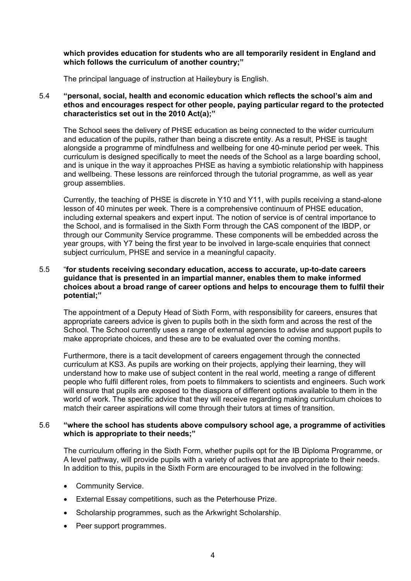#### **which provides education for students who are all temporarily resident in England and which follows the curriculum of another country;"**

The principal language of instruction at Haileybury is English.

#### 5.4 **"personal, social, health and economic education which reflects the school's aim and ethos and encourages respect for other people, paying particular regard to the protected characteristics set out in the 2010 Act(a);"**

The School sees the delivery of PHSE education as being connected to the wider curriculum and education of the pupils, rather than being a discrete entity. As a result, PHSE is taught alongside a programme of mindfulness and wellbeing for one 40-minute period per week. This curriculum is designed specifically to meet the needs of the School as a large boarding school, and is unique in the way it approaches PHSE as having a symbiotic relationship with happiness and wellbeing. These lessons are reinforced through the tutorial programme, as well as year group assemblies.

Currently, the teaching of PHSE is discrete in Y10 and Y11, with pupils receiving a stand-alone lesson of 40 minutes per week. There is a comprehensive continuum of PHSE education, including external speakers and expert input. The notion of service is of central importance to the School, and is formalised in the Sixth Form through the CAS component of the IBDP, or through our Community Service programme. These components will be embedded across the year groups, with Y7 being the first year to be involved in large-scale enquiries that connect subject curriculum, PHSE and service in a meaningful capacity.

#### 5.5 "**for students receiving secondary education, access to accurate, up-to-date careers guidance that is presented in an impartial manner, enables them to make informed choices about a broad range of career options and helps to encourage them to fulfil their potential;"**

The appointment of a Deputy Head of Sixth Form, with responsibility for careers, ensures that appropriate careers advice is given to pupils both in the sixth form and across the rest of the School. The School currently uses a range of external agencies to advise and support pupils to make appropriate choices, and these are to be evaluated over the coming months.

Furthermore, there is a tacit development of careers engagement through the connected curriculum at KS3. As pupils are working on their projects, applying their learning, they will understand how to make use of subject content in the real world, meeting a range of different people who fulfil different roles, from poets to filmmakers to scientists and engineers. Such work will ensure that pupils are exposed to the diaspora of different options available to them in the world of work. The specific advice that they will receive regarding making curriculum choices to match their career aspirations will come through their tutors at times of transition.

#### 5.6 **"where the school has students above compulsory school age, a programme of activities which is appropriate to their needs;"**

The curriculum offering in the Sixth Form, whether pupils opt for the IB Diploma Programme, or A level pathway, will provide pupils with a variety of actives that are appropriate to their needs. In addition to this, pupils in the Sixth Form are encouraged to be involved in the following:

- Community Service.
- External Essay competitions, such as the Peterhouse Prize.
- Scholarship programmes, such as the Arkwright Scholarship.
- Peer support programmes.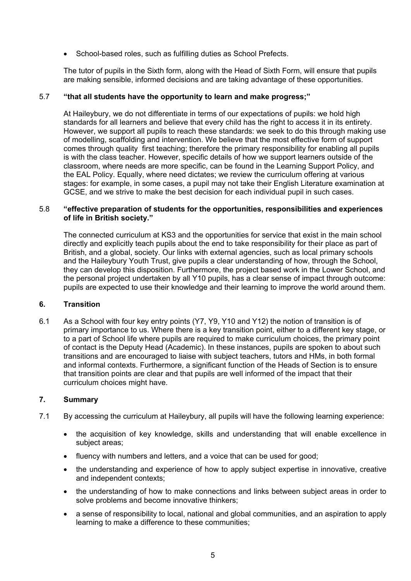• School-based roles, such as fulfilling duties as School Prefects.

The tutor of pupils in the Sixth form, along with the Head of Sixth Form, will ensure that pupils are making sensible, informed decisions and are taking advantage of these opportunities.

## 5.7 **"that all students have the opportunity to learn and make progress;"**

At Haileybury, we do not differentiate in terms of our expectations of pupils: we hold high standards for all learners and believe that every child has the right to access it in its entirety. However, we support all pupils to reach these standards: we seek to do this through making use of modelling, scaffolding and intervention. We believe that the most effective form of support comes through quality first teaching; therefore the primary responsibility for enabling all pupils is with the class teacher. However, specific details of how we support learners outside of the classroom, where needs are more specific, can be found in the Learning Support Policy, and the EAL Policy. Equally, where need dictates; we review the curriculum offering at various stages: for example, in some cases, a pupil may not take their English Literature examination at GCSE, and we strive to make the best decision for each individual pupil in such cases.

#### 5.8 **"effective preparation of students for the opportunities, responsibilities and experiences of life in British society."**

The connected curriculum at KS3 and the opportunities for service that exist in the main school directly and explicitly teach pupils about the end to take responsibility for their place as part of British, and a global, society. Our links with external agencies, such as local primary schools and the Haileybury Youth Trust, give pupils a clear understanding of how, through the School, they can develop this disposition. Furthermore, the project based work in the Lower School, and the personal project undertaken by all Y10 pupils, has a clear sense of impact through outcome: pupils are expected to use their knowledge and their learning to improve the world around them.

## **6. Transition**

6.1 As a School with four key entry points (Y7, Y9, Y10 and Y12) the notion of transition is of primary importance to us. Where there is a key transition point, either to a different key stage, or to a part of School life where pupils are required to make curriculum choices, the primary point of contact is the Deputy Head (Academic). In these instances, pupils are spoken to about such transitions and are encouraged to liaise with subject teachers, tutors and HMs, in both formal and informal contexts. Furthermore, a significant function of the Heads of Section is to ensure that transition points are clear and that pupils are well informed of the impact that their curriculum choices might have.

# **7. Summary**

- 7.1 By accessing the curriculum at Haileybury, all pupils will have the following learning experience:
	- the acquisition of key knowledge, skills and understanding that will enable excellence in subject areas;
	- fluency with numbers and letters, and a voice that can be used for good;
	- the understanding and experience of how to apply subject expertise in innovative, creative and independent contexts;
	- the understanding of how to make connections and links between subject areas in order to solve problems and become innovative thinkers;
	- a sense of responsibility to local, national and global communities, and an aspiration to apply learning to make a difference to these communities;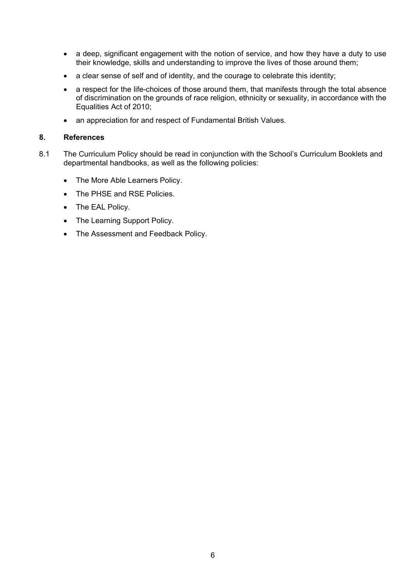- a deep, significant engagement with the notion of service, and how they have a duty to use their knowledge, skills and understanding to improve the lives of those around them;
- a clear sense of self and of identity, and the courage to celebrate this identity;
- a respect for the life-choices of those around them, that manifests through the total absence of discrimination on the grounds of race religion, ethnicity or sexuality, in accordance with the Equalities Act of 2010;
- an appreciation for and respect of Fundamental British Values.

# **8. References**

- 8.1 The Curriculum Policy should be read in conjunction with the School's Curriculum Booklets and departmental handbooks, as well as the following policies:
	- The More Able Learners Policy.
	- The PHSE and RSE Policies.
	- The EAL Policy.
	- The Learning Support Policy.
	- The Assessment and Feedback Policy.